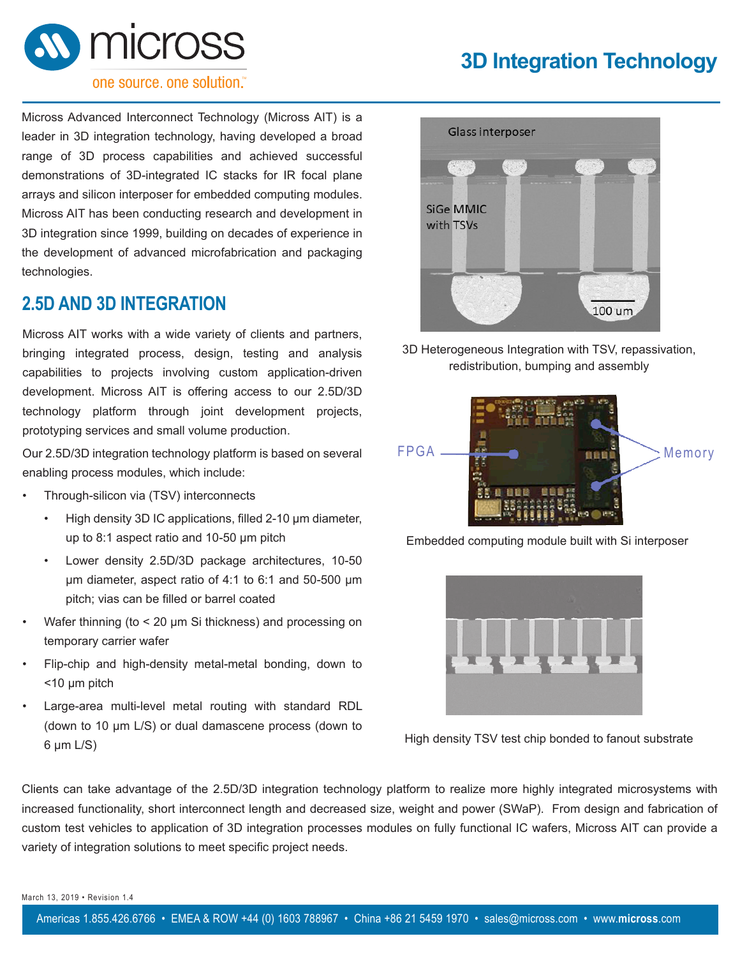

# **3D Integration Technology**

#### one source, one solution."

Micross Advanced Interconnect Technology (Micross AIT) is a leader in 3D integration technology, having developed a broad range of 3D process capabilities and achieved successful demonstrations of 3D-integrated IC stacks for IR focal plane arrays and silicon interposer for embedded computing modules. Micross AIT has been conducting research and development in 3D integration since 1999, building on decades of experience in the development of advanced microfabrication and packaging technologies.

### **2.5D AND 3D INTEGRATION**

Micross AIT works with a wide variety of clients and partners, bringing integrated process, design, testing and analysis capabilities to projects involving custom application-driven development. Micross AIT is offering access to our 2.5D/3D technology platform through joint development projects, prototyping services and small volume production.

Our 2.5D/3D integration technology platform is based on several enabling process modules, which include:

- Through-silicon via (TSV) interconnects
	- High density 3D IC applications, filled 2-10 µm diameter, up to 8:1 aspect ratio and 10-50 µm pitch
	- Lower density 2.5D/3D package architectures, 10-50 µm diameter, aspect ratio of 4:1 to 6:1 and 50-500 µm pitch; vias can be filled or barrel coated
- Wafer thinning (to < 20 µm Si thickness) and processing on temporary carrier wafer
- Flip-chip and high-density metal-metal bonding, down to <10 µm pitch
- Large-area multi-level metal routing with standard RDL (down to 10 µm L/S) or dual damascene process (down to  $6 \mu m$  L/S)



3D Heterogeneous Integration with TSV, repassivation, redistribution, bumping and assembly



Embedded computing module built with Si interposer



High density TSV test chip bonded to fanout substrate

Clients can take advantage of the 2.5D/3D integration technology platform to realize more highly integrated microsystems with increased functionality, short interconnect length and decreased size, weight and power (SWaP). From design and fabrication of custom test vehicles to application of 3D integration processes modules on fully functional IC wafers, Micross AIT can provide a variety of integration solutions to meet specific project needs.

March 13, 2019 • Revision 1.4